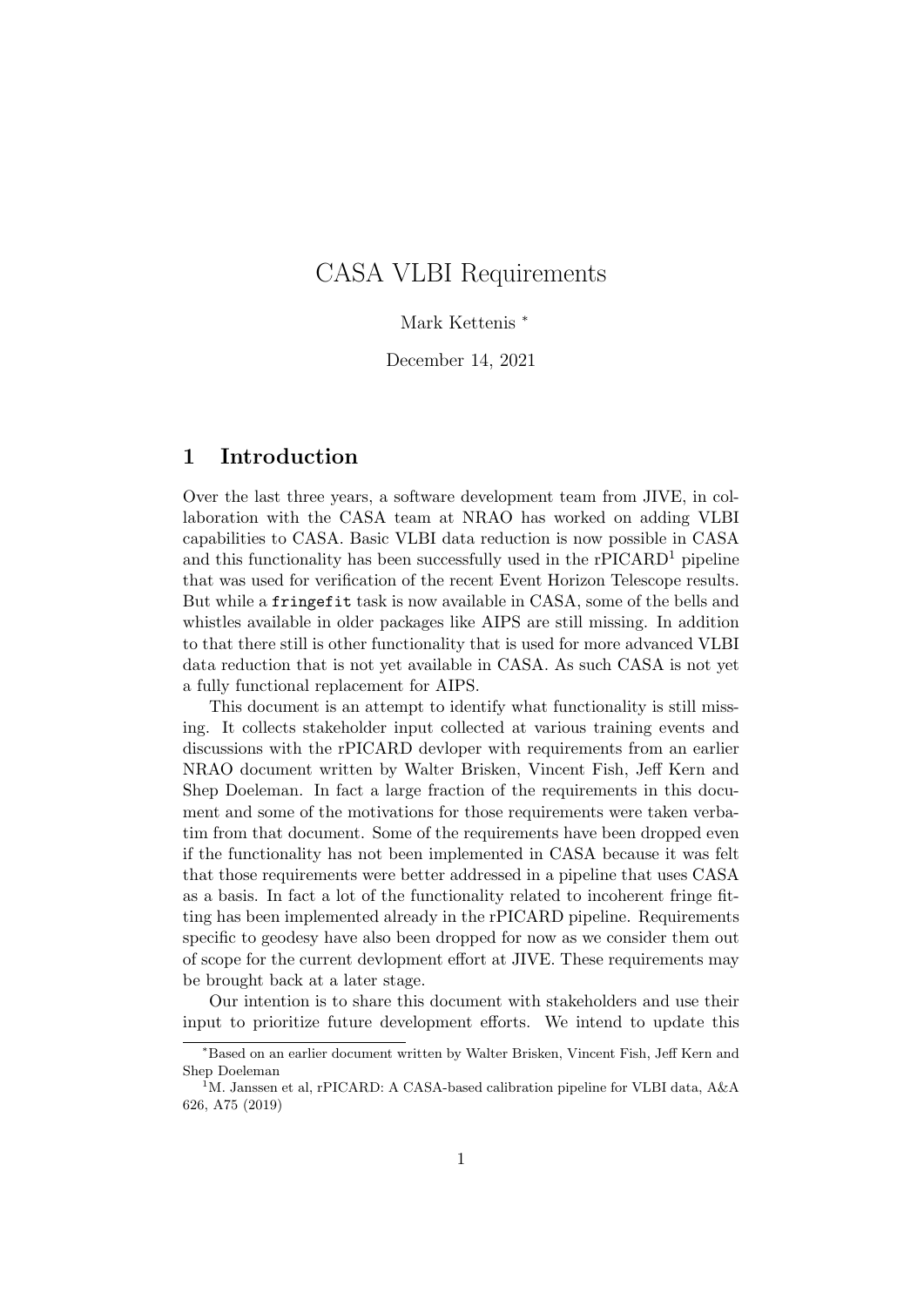# CASA VLBI Requirements

Mark Kettenis <sup>∗</sup>

December 14, 2021

## 1 Introduction

Over the last three years, a software development team from JIVE, in collaboration with the CASA team at NRAO has worked on adding VLBI capabilities to CASA. Basic VLBI data reduction is now possible in CASA and this functionality has been successfully used in the  $rPICARD<sup>1</sup>$  pipeline that was used for verification of the recent Event Horizon Telescope results. But while a fringefit task is now available in CASA, some of the bells and whistles available in older packages like AIPS are still missing. In addition to that there still is other functionality that is used for more advanced VLBI data reduction that is not yet available in CASA. As such CASA is not yet a fully functional replacement for AIPS.

This document is an attempt to identify what functionality is still missing. It collects stakeholder input collected at various training events and discussions with the rPICARD devloper with requirements from an earlier NRAO document written by Walter Brisken, Vincent Fish, Jeff Kern and Shep Doeleman. In fact a large fraction of the requirements in this document and some of the motivations for those requirements were taken verbatim from that document. Some of the requirements have been dropped even if the functionality has not been implemented in CASA because it was felt that those requirements were better addressed in a pipeline that uses CASA as a basis. In fact a lot of the functionality related to incoherent fringe fitting has been implemented already in the rPICARD pipeline. Requirements specific to geodesy have also been dropped for now as we consider them out of scope for the current devlopment effort at JIVE. These requirements may be brought back at a later stage.

Our intention is to share this document with stakeholders and use their input to prioritize future development efforts. We intend to update this

<sup>∗</sup>Based on an earlier document written by Walter Brisken, Vincent Fish, Jeff Kern and Shep Doeleman

<sup>&</sup>lt;sup>1</sup>M. Janssen et al, rPICARD: A CASA-based calibration pipeline for VLBI data, A&A 626, A75 (2019)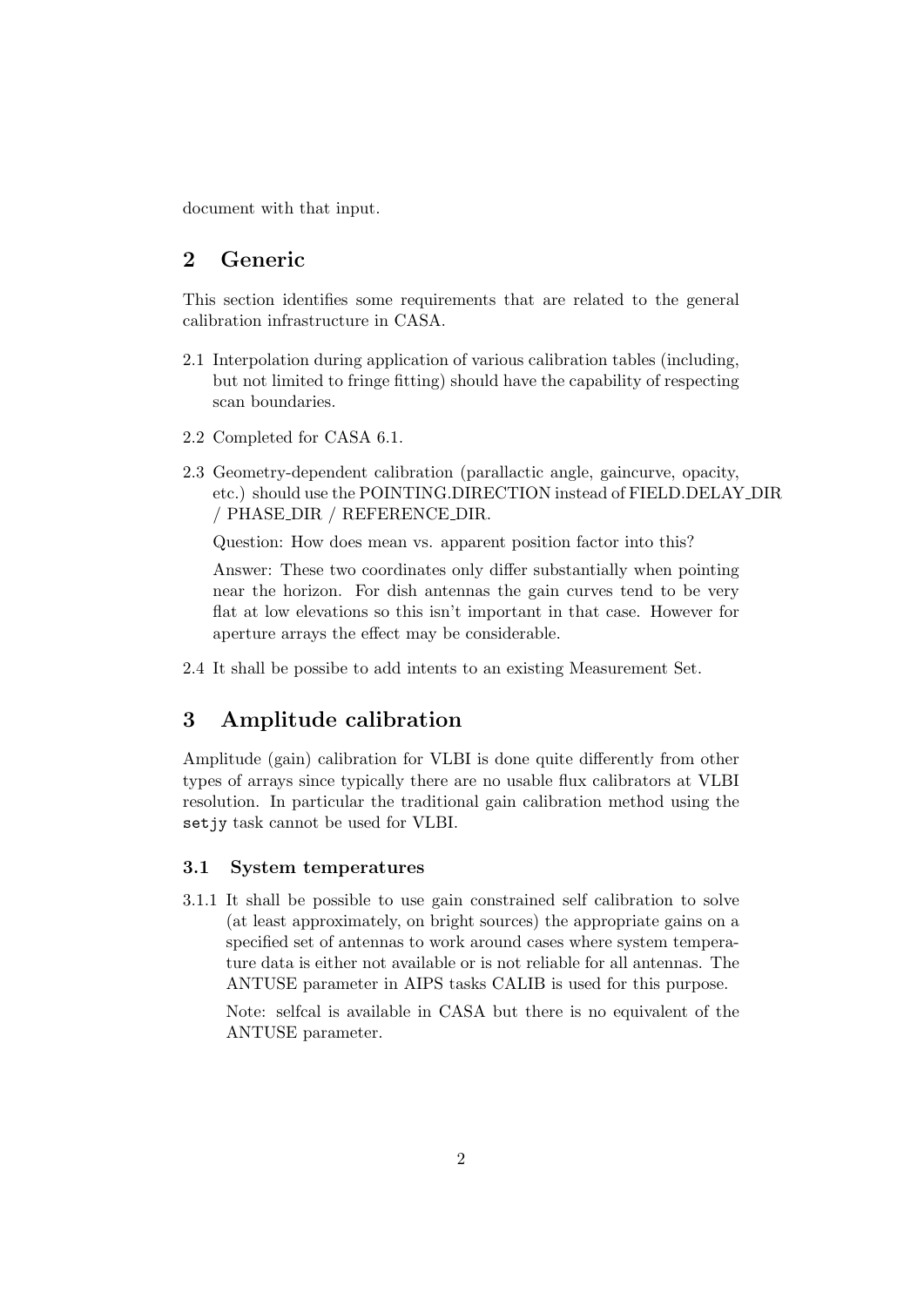document with that input.

## 2 Generic

This section identifies some requirements that are related to the general calibration infrastructure in CASA.

- 2.1 Interpolation during application of various calibration tables (including, but not limited to fringe fitting) should have the capability of respecting scan boundaries.
- 2.2 Completed for CASA 6.1.
- 2.3 Geometry-dependent calibration (parallactic angle, gaincurve, opacity, etc.) should use the POINTING.DIRECTION instead of FIELD.DELAY DIR / PHASE DIR / REFERENCE DIR.

Question: How does mean vs. apparent position factor into this?

Answer: These two coordinates only differ substantially when pointing near the horizon. For dish antennas the gain curves tend to be very flat at low elevations so this isn't important in that case. However for aperture arrays the effect may be considerable.

2.4 It shall be possibe to add intents to an existing Measurement Set.

## 3 Amplitude calibration

Amplitude (gain) calibration for VLBI is done quite differently from other types of arrays since typically there are no usable flux calibrators at VLBI resolution. In particular the traditional gain calibration method using the setjy task cannot be used for VLBI.

#### 3.1 System temperatures

3.1.1 It shall be possible to use gain constrained self calibration to solve (at least approximately, on bright sources) the appropriate gains on a specified set of antennas to work around cases where system temperature data is either not available or is not reliable for all antennas. The ANTUSE parameter in AIPS tasks CALIB is used for this purpose.

Note: selfcal is available in CASA but there is no equivalent of the ANTUSE parameter.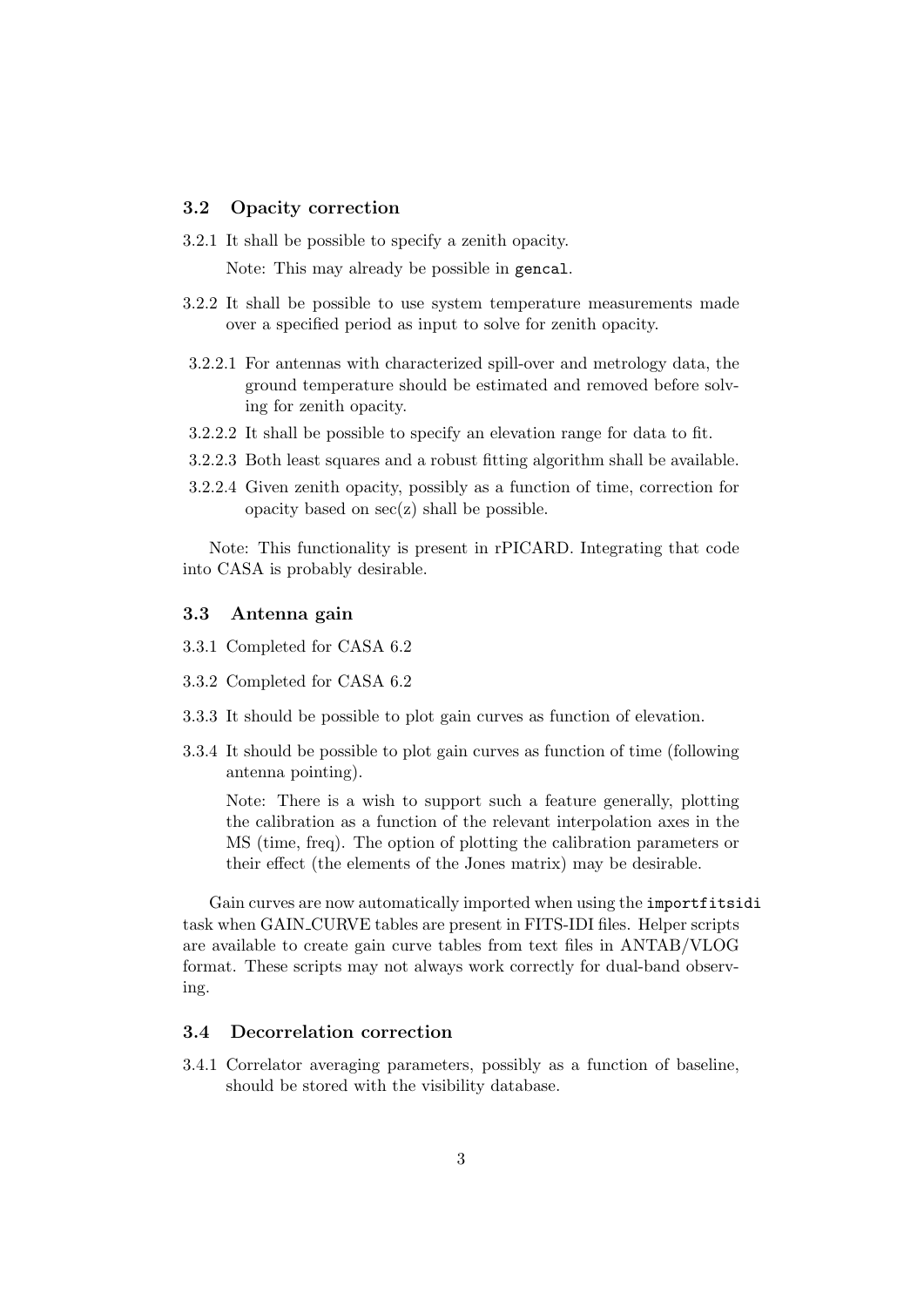#### 3.2 Opacity correction

3.2.1 It shall be possible to specify a zenith opacity.

Note: This may already be possible in gencal.

- 3.2.2 It shall be possible to use system temperature measurements made over a specified period as input to solve for zenith opacity.
- 3.2.2.1 For antennas with characterized spill-over and metrology data, the ground temperature should be estimated and removed before solving for zenith opacity.
- 3.2.2.2 It shall be possible to specify an elevation range for data to fit.
- 3.2.2.3 Both least squares and a robust fitting algorithm shall be available.
- 3.2.2.4 Given zenith opacity, possibly as a function of time, correction for opacity based on  $sec(z)$  shall be possible.

Note: This functionality is present in rPICARD. Integrating that code into CASA is probably desirable.

#### 3.3 Antenna gain

- 3.3.1 Completed for CASA 6.2
- 3.3.2 Completed for CASA 6.2
- 3.3.3 It should be possible to plot gain curves as function of elevation.
- 3.3.4 It should be possible to plot gain curves as function of time (following antenna pointing).

Note: There is a wish to support such a feature generally, plotting the calibration as a function of the relevant interpolation axes in the MS (time, freq). The option of plotting the calibration parameters or their effect (the elements of the Jones matrix) may be desirable.

Gain curves are now automatically imported when using the importfitsidi task when GAIN CURVE tables are present in FITS-IDI files. Helper scripts are available to create gain curve tables from text files in ANTAB/VLOG format. These scripts may not always work correctly for dual-band observing.

## 3.4 Decorrelation correction

3.4.1 Correlator averaging parameters, possibly as a function of baseline, should be stored with the visibility database.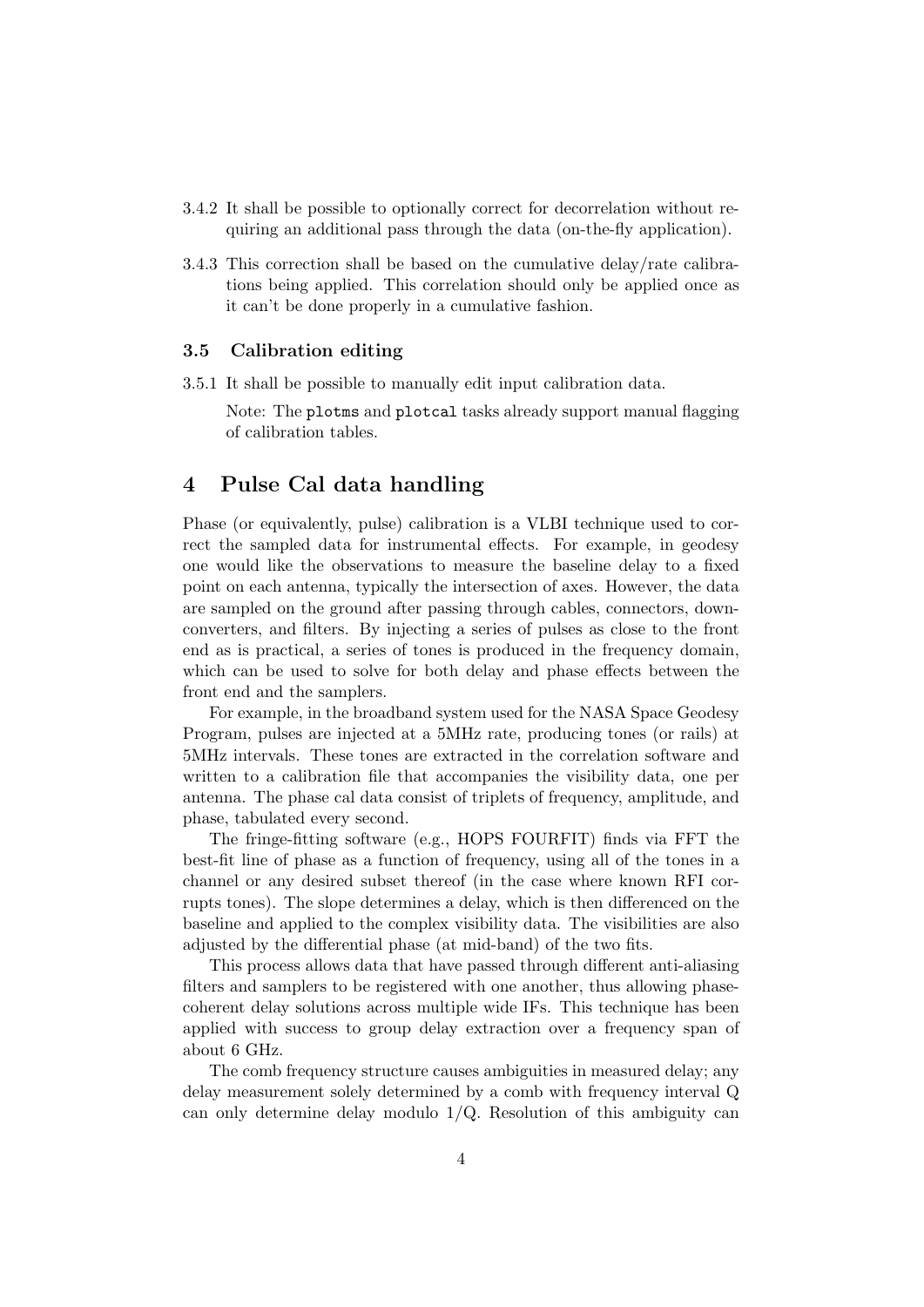- 3.4.2 It shall be possible to optionally correct for decorrelation without requiring an additional pass through the data (on-the-fly application).
- 3.4.3 This correction shall be based on the cumulative delay/rate calibrations being applied. This correlation should only be applied once as it can't be done properly in a cumulative fashion.

#### 3.5 Calibration editing

3.5.1 It shall be possible to manually edit input calibration data.

Note: The plotms and plotcal tasks already support manual flagging of calibration tables.

## 4 Pulse Cal data handling

Phase (or equivalently, pulse) calibration is a VLBI technique used to correct the sampled data for instrumental effects. For example, in geodesy one would like the observations to measure the baseline delay to a fixed point on each antenna, typically the intersection of axes. However, the data are sampled on the ground after passing through cables, connectors, downconverters, and filters. By injecting a series of pulses as close to the front end as is practical, a series of tones is produced in the frequency domain, which can be used to solve for both delay and phase effects between the front end and the samplers.

For example, in the broadband system used for the NASA Space Geodesy Program, pulses are injected at a 5MHz rate, producing tones (or rails) at 5MHz intervals. These tones are extracted in the correlation software and written to a calibration file that accompanies the visibility data, one per antenna. The phase cal data consist of triplets of frequency, amplitude, and phase, tabulated every second.

The fringe-fitting software (e.g., HOPS FOURFIT) finds via FFT the best-fit line of phase as a function of frequency, using all of the tones in a channel or any desired subset thereof (in the case where known RFI corrupts tones). The slope determines a delay, which is then differenced on the baseline and applied to the complex visibility data. The visibilities are also adjusted by the differential phase (at mid-band) of the two fits.

This process allows data that have passed through different anti-aliasing filters and samplers to be registered with one another, thus allowing phasecoherent delay solutions across multiple wide IFs. This technique has been applied with success to group delay extraction over a frequency span of about 6 GHz.

The comb frequency structure causes ambiguities in measured delay; any delay measurement solely determined by a comb with frequency interval Q can only determine delay modulo 1/Q. Resolution of this ambiguity can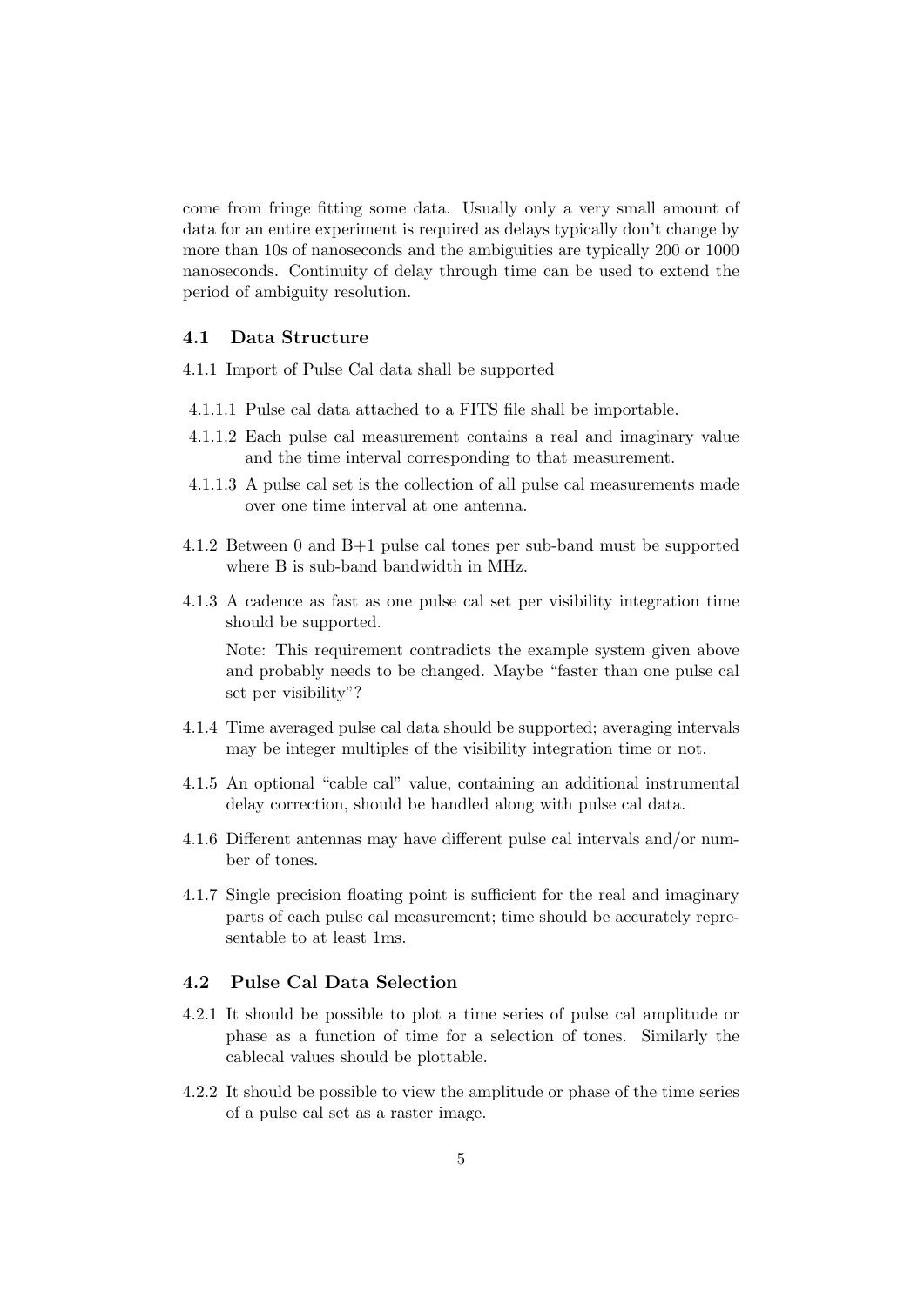come from fringe fitting some data. Usually only a very small amount of data for an entire experiment is required as delays typically don't change by more than 10s of nanoseconds and the ambiguities are typically 200 or 1000 nanoseconds. Continuity of delay through time can be used to extend the period of ambiguity resolution.

## 4.1 Data Structure

4.1.1 Import of Pulse Cal data shall be supported

- 4.1.1.1 Pulse cal data attached to a FITS file shall be importable.
- 4.1.1.2 Each pulse cal measurement contains a real and imaginary value and the time interval corresponding to that measurement.
- 4.1.1.3 A pulse cal set is the collection of all pulse cal measurements made over one time interval at one antenna.
- 4.1.2 Between 0 and B+1 pulse cal tones per sub-band must be supported where B is sub-band bandwidth in MHz.
- 4.1.3 A cadence as fast as one pulse cal set per visibility integration time should be supported.

Note: This requirement contradicts the example system given above and probably needs to be changed. Maybe "faster than one pulse cal set per visibility"?

- 4.1.4 Time averaged pulse cal data should be supported; averaging intervals may be integer multiples of the visibility integration time or not.
- 4.1.5 An optional "cable cal" value, containing an additional instrumental delay correction, should be handled along with pulse cal data.
- 4.1.6 Different antennas may have different pulse cal intervals and/or number of tones.
- 4.1.7 Single precision floating point is sufficient for the real and imaginary parts of each pulse cal measurement; time should be accurately representable to at least 1ms.

## 4.2 Pulse Cal Data Selection

- 4.2.1 It should be possible to plot a time series of pulse cal amplitude or phase as a function of time for a selection of tones. Similarly the cablecal values should be plottable.
- 4.2.2 It should be possible to view the amplitude or phase of the time series of a pulse cal set as a raster image.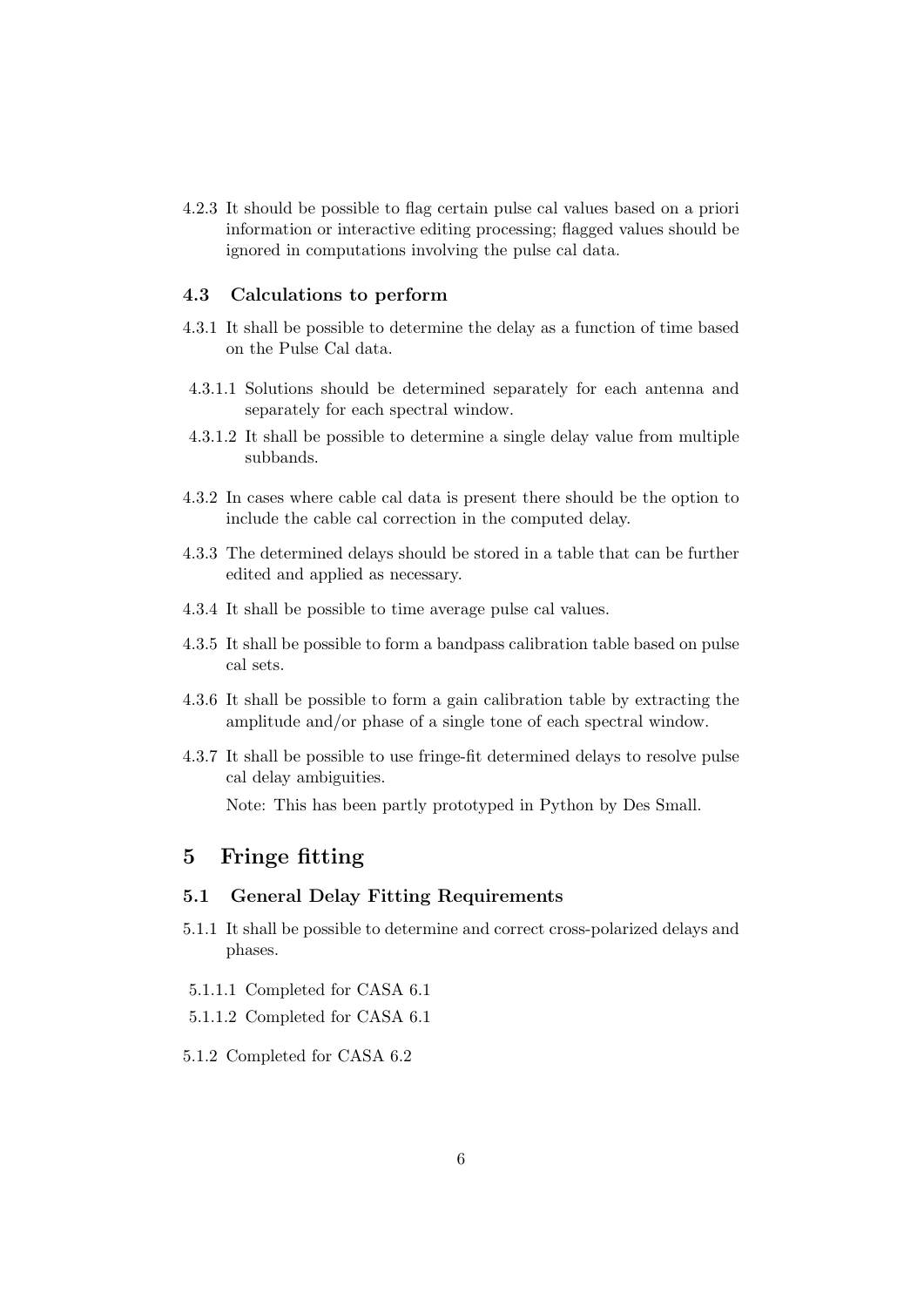4.2.3 It should be possible to flag certain pulse cal values based on a priori information or interactive editing processing; flagged values should be ignored in computations involving the pulse cal data.

#### 4.3 Calculations to perform

- 4.3.1 It shall be possible to determine the delay as a function of time based on the Pulse Cal data.
- 4.3.1.1 Solutions should be determined separately for each antenna and separately for each spectral window.
- 4.3.1.2 It shall be possible to determine a single delay value from multiple subbands.
- 4.3.2 In cases where cable cal data is present there should be the option to include the cable cal correction in the computed delay.
- 4.3.3 The determined delays should be stored in a table that can be further edited and applied as necessary.
- 4.3.4 It shall be possible to time average pulse cal values.
- 4.3.5 It shall be possible to form a bandpass calibration table based on pulse cal sets.
- 4.3.6 It shall be possible to form a gain calibration table by extracting the amplitude and/or phase of a single tone of each spectral window.
- 4.3.7 It shall be possible to use fringe-fit determined delays to resolve pulse cal delay ambiguities.

Note: This has been partly prototyped in Python by Des Small.

## 5 Fringe fitting

#### 5.1 General Delay Fitting Requirements

- 5.1.1 It shall be possible to determine and correct cross-polarized delays and phases.
- 5.1.1.1 Completed for CASA 6.1
- 5.1.1.2 Completed for CASA 6.1
- 5.1.2 Completed for CASA 6.2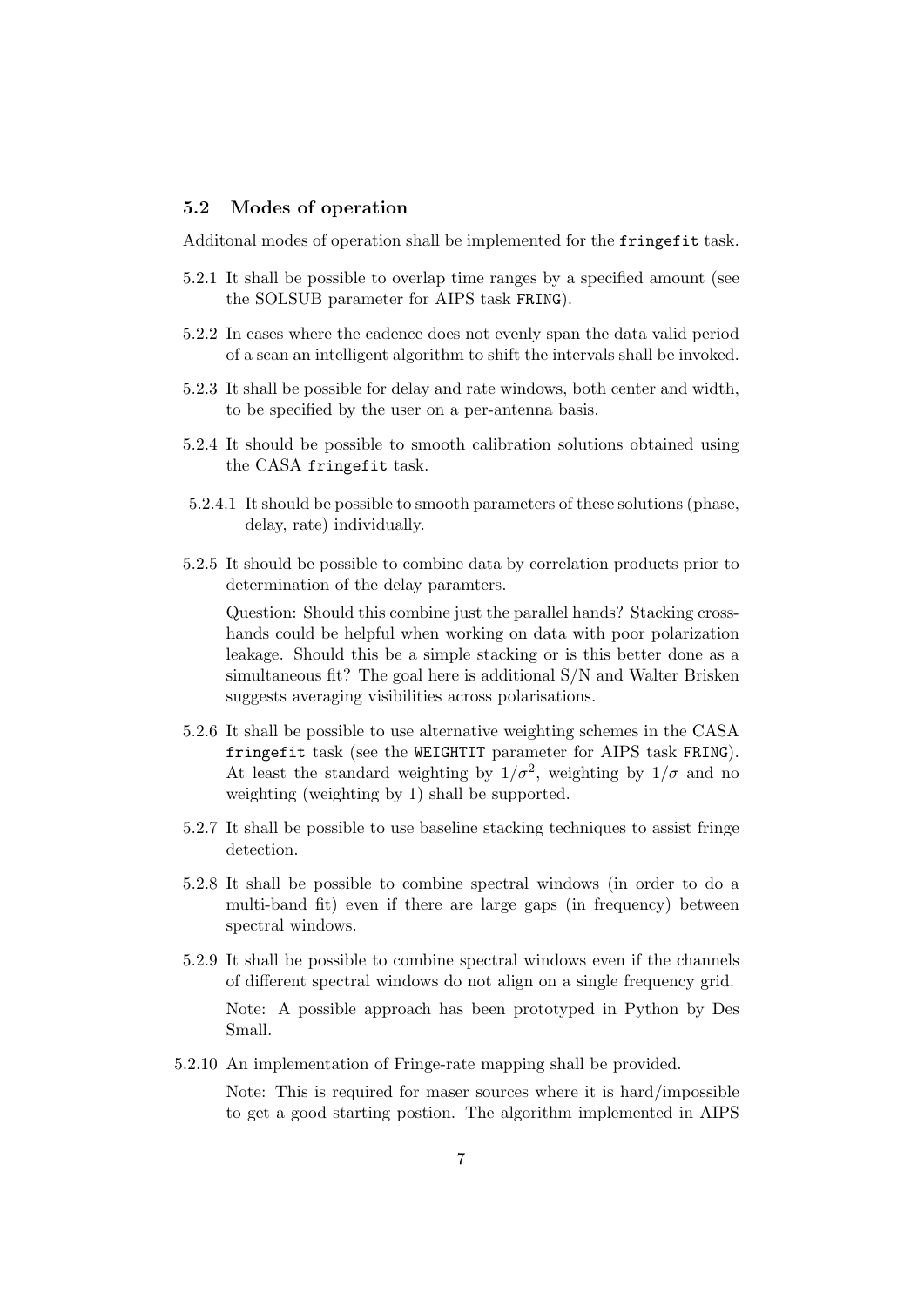#### 5.2 Modes of operation

Additonal modes of operation shall be implemented for the fringefit task.

- 5.2.1 It shall be possible to overlap time ranges by a specified amount (see the SOLSUB parameter for AIPS task FRING).
- 5.2.2 In cases where the cadence does not evenly span the data valid period of a scan an intelligent algorithm to shift the intervals shall be invoked.
- 5.2.3 It shall be possible for delay and rate windows, both center and width, to be specified by the user on a per-antenna basis.
- 5.2.4 It should be possible to smooth calibration solutions obtained using the CASA fringefit task.
- 5.2.4.1 It should be possible to smooth parameters of these solutions (phase, delay, rate) individually.
- 5.2.5 It should be possible to combine data by correlation products prior to determination of the delay paramters.

Question: Should this combine just the parallel hands? Stacking crosshands could be helpful when working on data with poor polarization leakage. Should this be a simple stacking or is this better done as a simultaneous fit? The goal here is additional S/N and Walter Brisken suggests averaging visibilities across polarisations.

- 5.2.6 It shall be possible to use alternative weighting schemes in the CASA fringefit task (see the WEIGHTIT parameter for AIPS task FRING). At least the standard weighting by  $1/\sigma^2$ , weighting by  $1/\sigma$  and no weighting (weighting by 1) shall be supported.
- 5.2.7 It shall be possible to use baseline stacking techniques to assist fringe detection.
- 5.2.8 It shall be possible to combine spectral windows (in order to do a multi-band fit) even if there are large gaps (in frequency) between spectral windows.
- 5.2.9 It shall be possible to combine spectral windows even if the channels of different spectral windows do not align on a single frequency grid. Note: A possible approach has been prototyped in Python by Des Small.
- 5.2.10 An implementation of Fringe-rate mapping shall be provided.

Note: This is required for maser sources where it is hard/impossible to get a good starting postion. The algorithm implemented in AIPS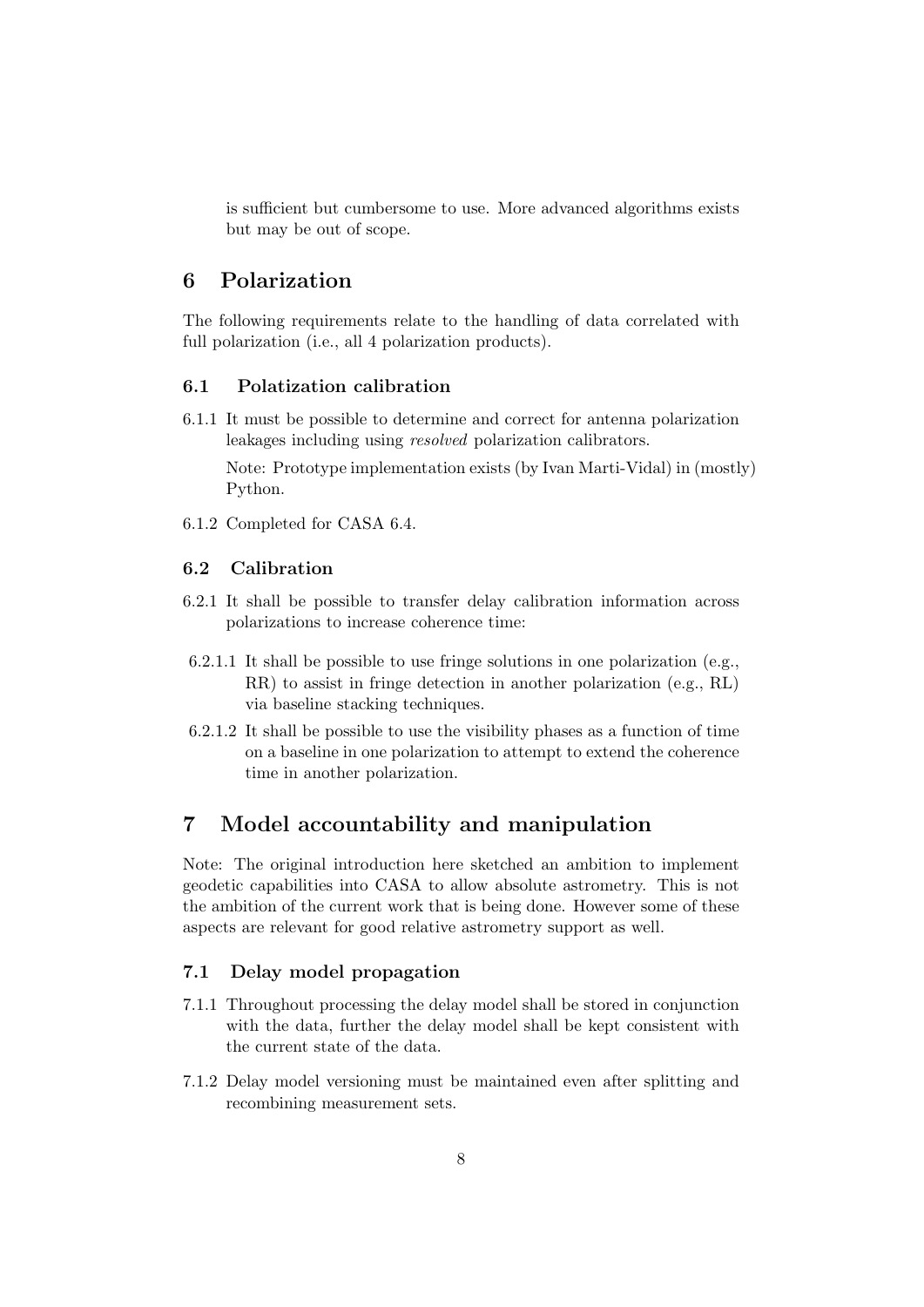is sufficient but cumbersome to use. More advanced algorithms exists but may be out of scope.

## 6 Polarization

The following requirements relate to the handling of data correlated with full polarization (i.e., all 4 polarization products).

### 6.1 Polatization calibration

6.1.1 It must be possible to determine and correct for antenna polarization leakages including using resolved polarization calibrators.

Note: Prototype implementation exists (by Ivan Marti-Vidal) in (mostly) Python.

6.1.2 Completed for CASA 6.4.

## 6.2 Calibration

- 6.2.1 It shall be possible to transfer delay calibration information across polarizations to increase coherence time:
- 6.2.1.1 It shall be possible to use fringe solutions in one polarization (e.g., RR) to assist in fringe detection in another polarization (e.g., RL) via baseline stacking techniques.
- 6.2.1.2 It shall be possible to use the visibility phases as a function of time on a baseline in one polarization to attempt to extend the coherence time in another polarization.

## 7 Model accountability and manipulation

Note: The original introduction here sketched an ambition to implement geodetic capabilities into CASA to allow absolute astrometry. This is not the ambition of the current work that is being done. However some of these aspects are relevant for good relative astrometry support as well.

#### 7.1 Delay model propagation

- 7.1.1 Throughout processing the delay model shall be stored in conjunction with the data, further the delay model shall be kept consistent with the current state of the data.
- 7.1.2 Delay model versioning must be maintained even after splitting and recombining measurement sets.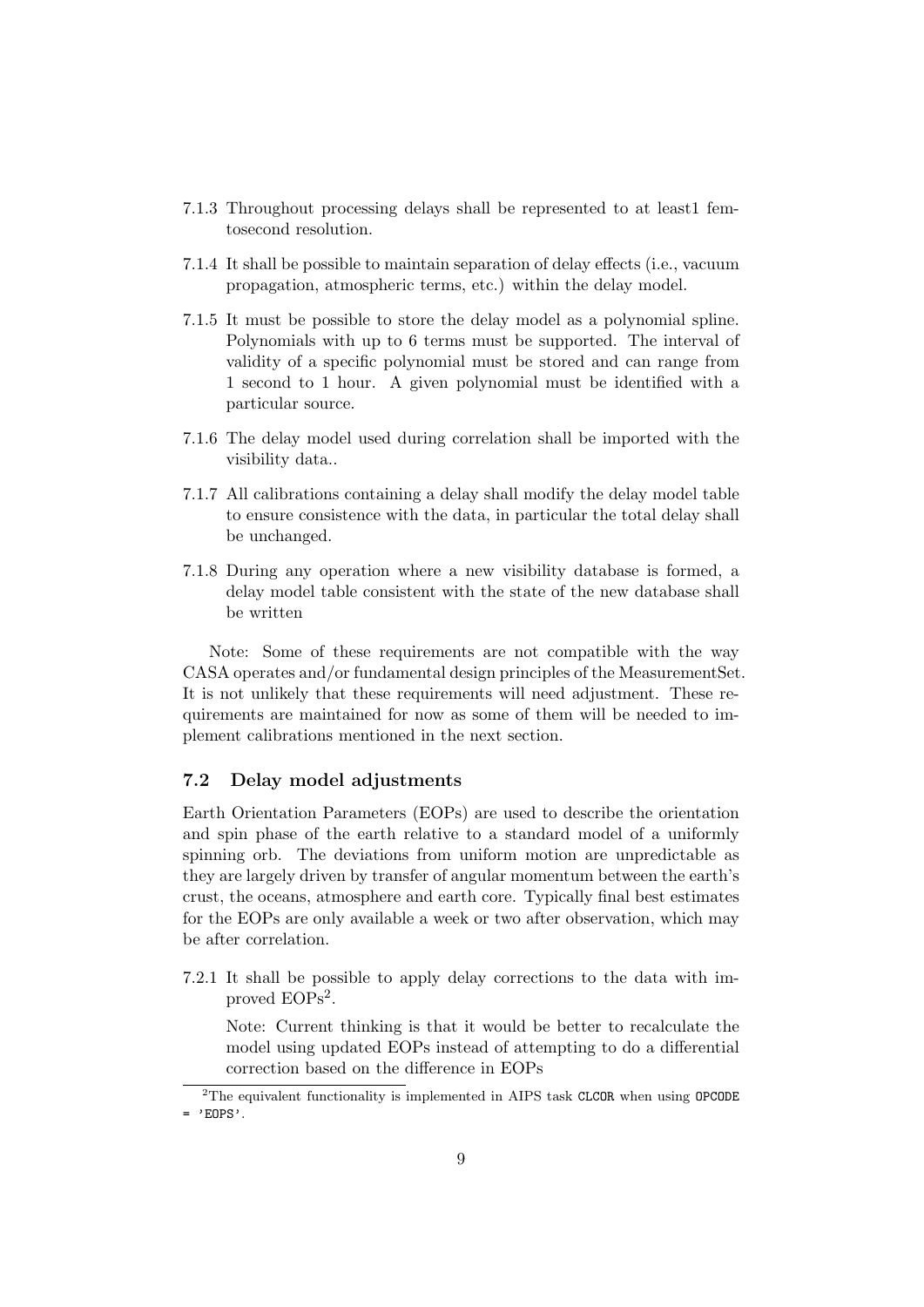- 7.1.3 Throughout processing delays shall be represented to at least1 femtosecond resolution.
- 7.1.4 It shall be possible to maintain separation of delay effects (i.e., vacuum propagation, atmospheric terms, etc.) within the delay model.
- 7.1.5 It must be possible to store the delay model as a polynomial spline. Polynomials with up to 6 terms must be supported. The interval of validity of a specific polynomial must be stored and can range from 1 second to 1 hour. A given polynomial must be identified with a particular source.
- 7.1.6 The delay model used during correlation shall be imported with the visibility data..
- 7.1.7 All calibrations containing a delay shall modify the delay model table to ensure consistence with the data, in particular the total delay shall be unchanged.
- 7.1.8 During any operation where a new visibility database is formed, a delay model table consistent with the state of the new database shall be written

Note: Some of these requirements are not compatible with the way CASA operates and/or fundamental design principles of the MeasurementSet. It is not unlikely that these requirements will need adjustment. These requirements are maintained for now as some of them will be needed to implement calibrations mentioned in the next section.

### 7.2 Delay model adjustments

Earth Orientation Parameters (EOPs) are used to describe the orientation and spin phase of the earth relative to a standard model of a uniformly spinning orb. The deviations from uniform motion are unpredictable as they are largely driven by transfer of angular momentum between the earth's crust, the oceans, atmosphere and earth core. Typically final best estimates for the EOPs are only available a week or two after observation, which may be after correlation.

7.2.1 It shall be possible to apply delay corrections to the data with improved EOPs<sup>2</sup>.

Note: Current thinking is that it would be better to recalculate the model using updated EOPs instead of attempting to do a differential correction based on the difference in EOPs

<sup>&</sup>lt;sup>2</sup>The equivalent functionality is implemented in AIPS task CLCOR when using OPCODE  $=$  'EOPS'.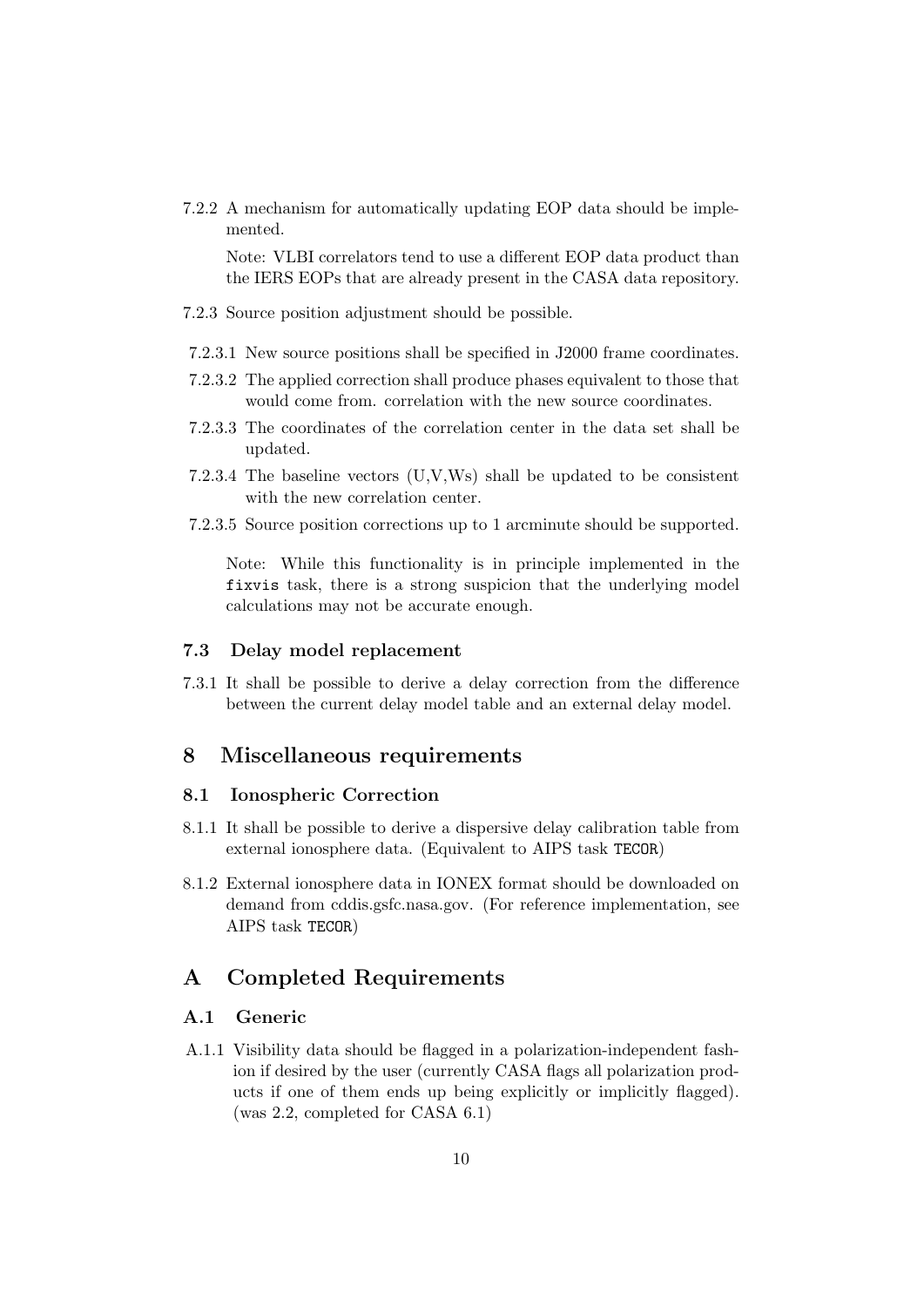7.2.2 A mechanism for automatically updating EOP data should be implemented.

Note: VLBI correlators tend to use a different EOP data product than the IERS EOPs that are already present in the CASA data repository.

- 7.2.3 Source position adjustment should be possible.
- 7.2.3.1 New source positions shall be specified in J2000 frame coordinates.
- 7.2.3.2 The applied correction shall produce phases equivalent to those that would come from. correlation with the new source coordinates.
- 7.2.3.3 The coordinates of the correlation center in the data set shall be updated.
- 7.2.3.4 The baseline vectors (U,V,Ws) shall be updated to be consistent with the new correlation center.
- 7.2.3.5 Source position corrections up to 1 arcminute should be supported.

Note: While this functionality is in principle implemented in the fixvis task, there is a strong suspicion that the underlying model calculations may not be accurate enough.

#### 7.3 Delay model replacement

7.3.1 It shall be possible to derive a delay correction from the difference between the current delay model table and an external delay model.

## 8 Miscellaneous requirements

#### 8.1 Ionospheric Correction

- 8.1.1 It shall be possible to derive a dispersive delay calibration table from external ionosphere data. (Equivalent to AIPS task TECOR)
- 8.1.2 External ionosphere data in IONEX format should be downloaded on demand from cddis.gsfc.nasa.gov. (For reference implementation, see AIPS task TECOR)

## A Completed Requirements

#### A.1 Generic

A.1.1 Visibility data should be flagged in a polarization-independent fashion if desired by the user (currently CASA flags all polarization products if one of them ends up being explicitly or implicitly flagged). (was 2.2, completed for CASA 6.1)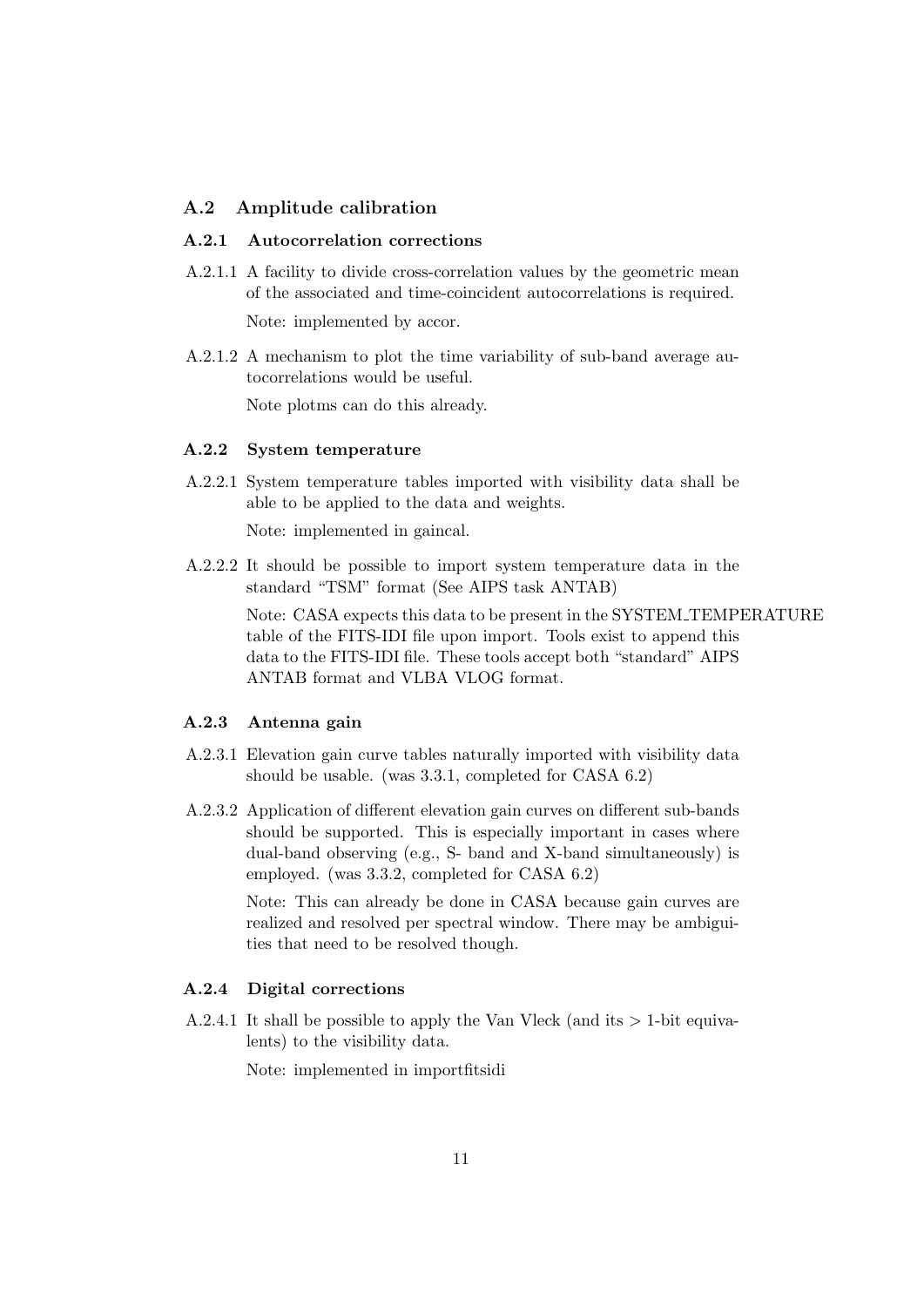#### A.2 Amplitude calibration

#### A.2.1 Autocorrelation corrections

- A.2.1.1 A facility to divide cross-correlation values by the geometric mean of the associated and time-coincident autocorrelations is required. Note: implemented by accor.
- A.2.1.2 A mechanism to plot the time variability of sub-band average autocorrelations would be useful.

Note plotms can do this already.

#### A.2.2 System temperature

A.2.2.1 System temperature tables imported with visibility data shall be able to be applied to the data and weights.

Note: implemented in gaincal.

A.2.2.2 It should be possible to import system temperature data in the standard "TSM" format (See AIPS task ANTAB)

> Note: CASA expects this data to be present in the SYSTEM TEMPERATURE table of the FITS-IDI file upon import. Tools exist to append this data to the FITS-IDI file. These tools accept both "standard" AIPS ANTAB format and VLBA VLOG format.

#### A.2.3 Antenna gain

- A.2.3.1 Elevation gain curve tables naturally imported with visibility data should be usable. (was 3.3.1, completed for CASA 6.2)
- A.2.3.2 Application of different elevation gain curves on different sub-bands should be supported. This is especially important in cases where dual-band observing (e.g., S- band and X-band simultaneously) is employed. (was 3.3.2, completed for CASA 6.2)

Note: This can already be done in CASA because gain curves are realized and resolved per spectral window. There may be ambiguities that need to be resolved though.

#### A.2.4 Digital corrections

A.2.4.1 It shall be possible to apply the Van Vleck (and its  $> 1$ -bit equivalents) to the visibility data.

Note: implemented in importfitsidi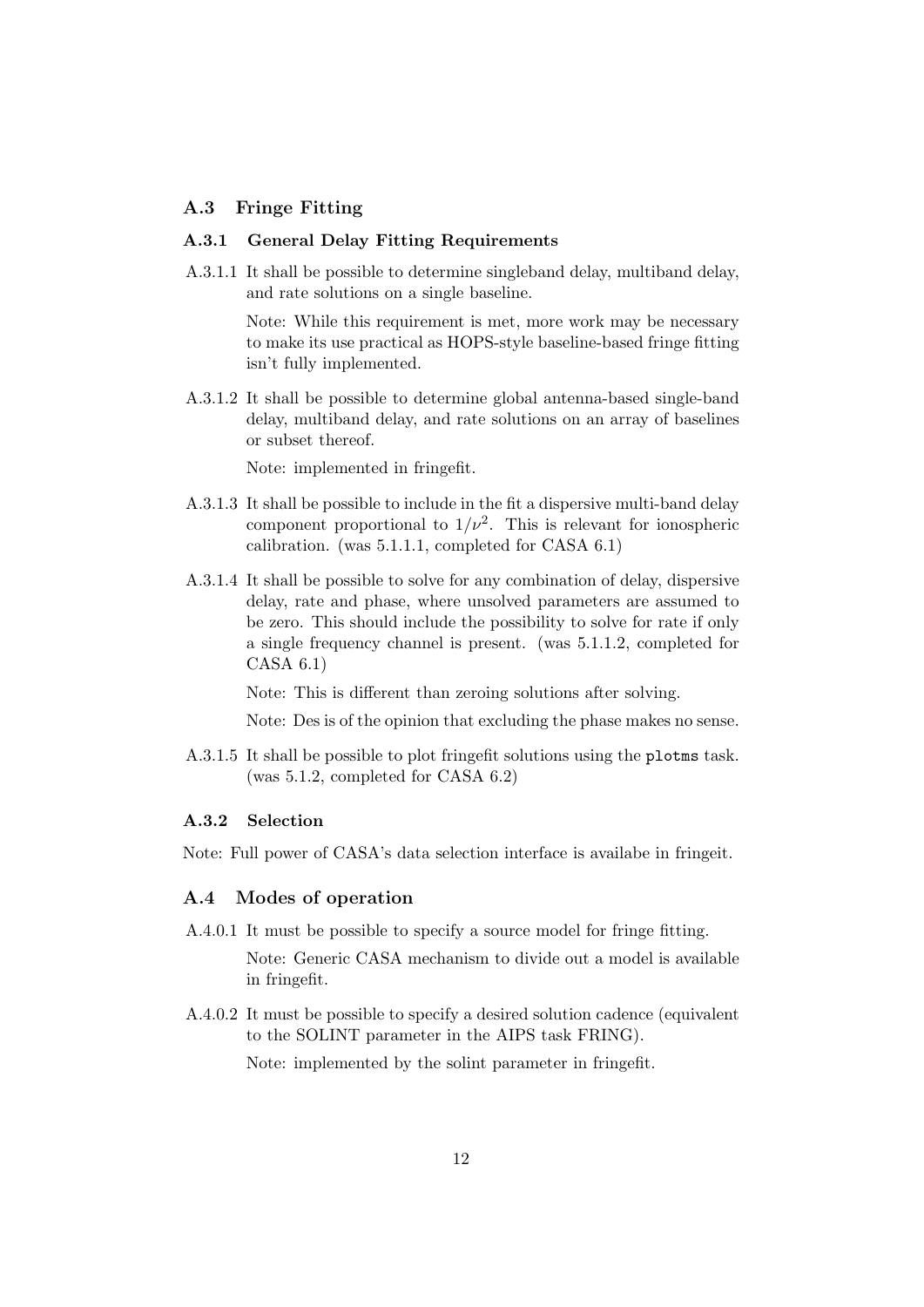### A.3 Fringe Fitting

#### A.3.1 General Delay Fitting Requirements

A.3.1.1 It shall be possible to determine singleband delay, multiband delay, and rate solutions on a single baseline.

> Note: While this requirement is met, more work may be necessary to make its use practical as HOPS-style baseline-based fringe fitting isn't fully implemented.

A.3.1.2 It shall be possible to determine global antenna-based single-band delay, multiband delay, and rate solutions on an array of baselines or subset thereof.

Note: implemented in fringefit.

- A.3.1.3 It shall be possible to include in the fit a dispersive multi-band delay component proportional to  $1/\nu^2$ . This is relevant for ionospheric calibration. (was 5.1.1.1, completed for CASA 6.1)
- A.3.1.4 It shall be possible to solve for any combination of delay, dispersive delay, rate and phase, where unsolved parameters are assumed to be zero. This should include the possibility to solve for rate if only a single frequency channel is present. (was 5.1.1.2, completed for CASA 6.1)

Note: This is different than zeroing solutions after solving.

Note: Des is of the opinion that excluding the phase makes no sense.

A.3.1.5 It shall be possible to plot fringefit solutions using the plotms task. (was 5.1.2, completed for CASA 6.2)

#### A.3.2 Selection

Note: Full power of CASA's data selection interface is availabe in fringeit.

#### A.4 Modes of operation

A.4.0.1 It must be possible to specify a source model for fringe fitting.

Note: Generic CASA mechanism to divide out a model is available in fringefit.

A.4.0.2 It must be possible to specify a desired solution cadence (equivalent to the SOLINT parameter in the AIPS task FRING).

Note: implemented by the solint parameter in fringefit.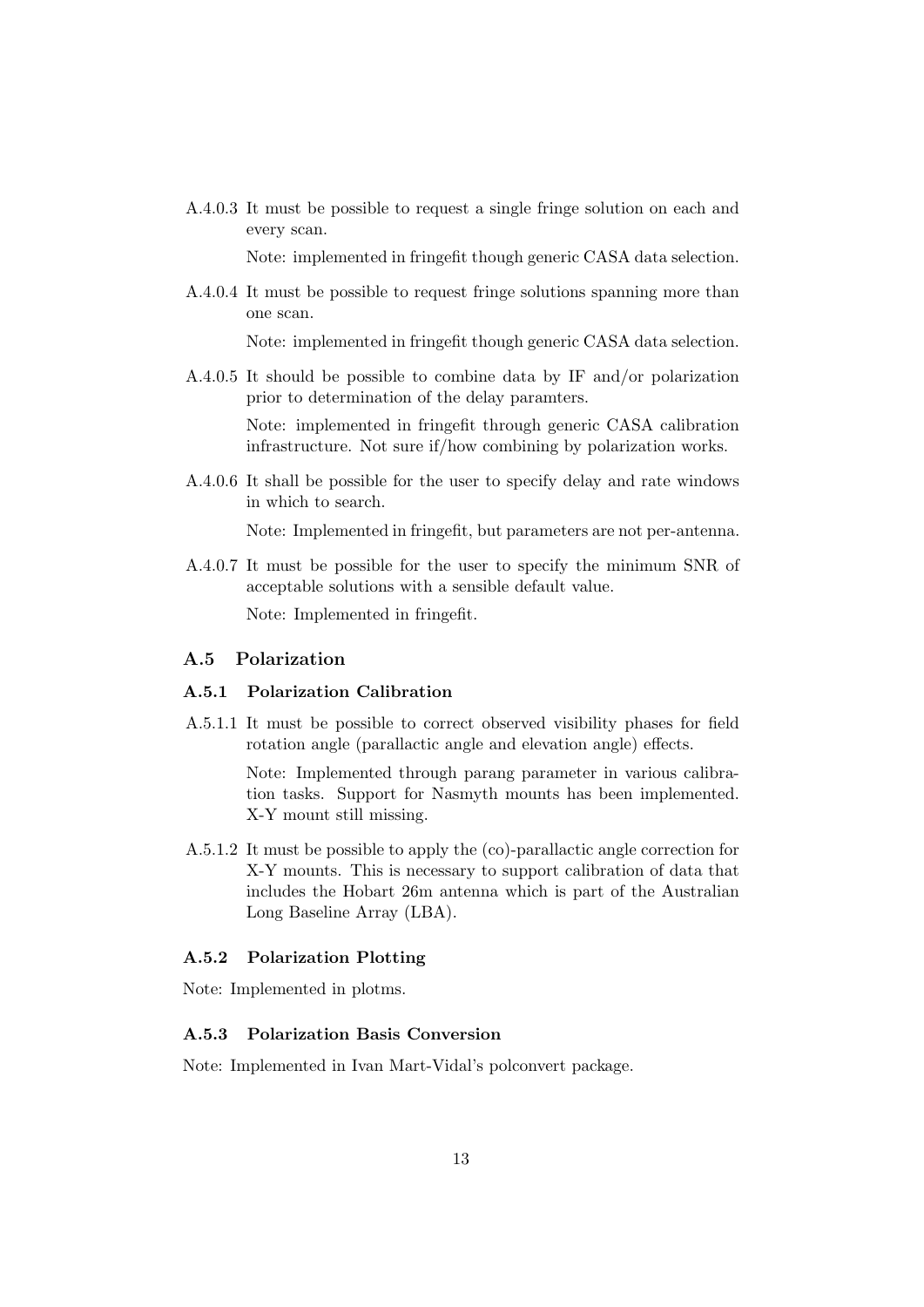A.4.0.3 It must be possible to request a single fringe solution on each and every scan.

Note: implemented in fringefit though generic CASA data selection.

A.4.0.4 It must be possible to request fringe solutions spanning more than one scan.

Note: implemented in fringefit though generic CASA data selection.

A.4.0.5 It should be possible to combine data by IF and/or polarization prior to determination of the delay paramters.

Note: implemented in fringefit through generic CASA calibration infrastructure. Not sure if/how combining by polarization works.

A.4.0.6 It shall be possible for the user to specify delay and rate windows in which to search.

Note: Implemented in fringefit, but parameters are not per-antenna.

A.4.0.7 It must be possible for the user to specify the minimum SNR of acceptable solutions with a sensible default value.

Note: Implemented in fringefit.

### A.5 Polarization

#### A.5.1 Polarization Calibration

A.5.1.1 It must be possible to correct observed visibility phases for field rotation angle (parallactic angle and elevation angle) effects.

> Note: Implemented through parang parameter in various calibration tasks. Support for Nasmyth mounts has been implemented. X-Y mount still missing.

A.5.1.2 It must be possible to apply the (co)-parallactic angle correction for X-Y mounts. This is necessary to support calibration of data that includes the Hobart 26m antenna which is part of the Australian Long Baseline Array (LBA).

#### A.5.2 Polarization Plotting

Note: Implemented in plotms.

## A.5.3 Polarization Basis Conversion

Note: Implemented in Ivan Mart-Vidal's polconvert package.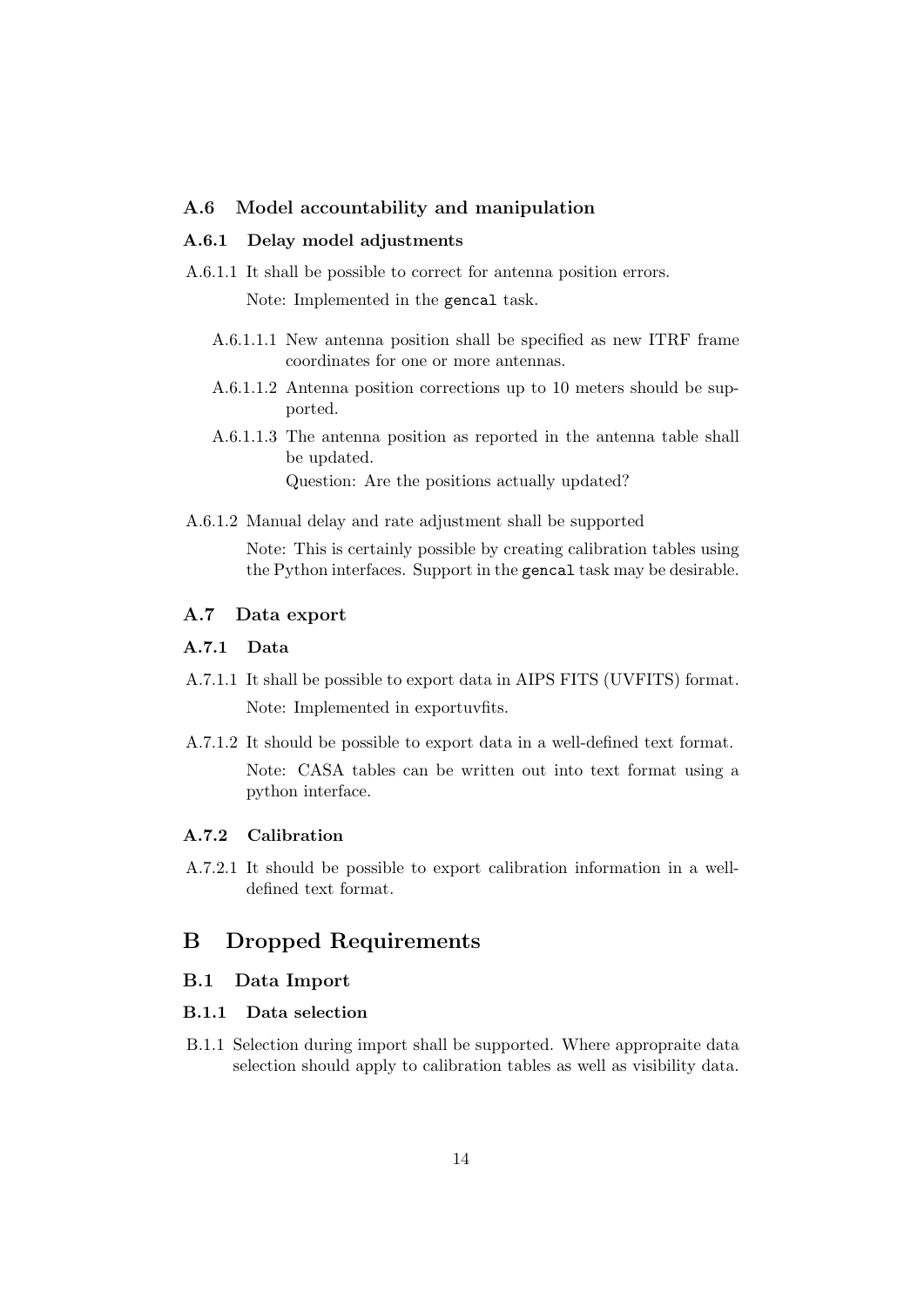#### A.6 Model accountability and manipulation

#### A.6.1 Delay model adjustments

A.6.1.1 It shall be possible to correct for antenna position errors.

Note: Implemented in the gencal task.

- A.6.1.1.1 New antenna position shall be specified as new ITRF frame coordinates for one or more antennas.
- A.6.1.1.2 Antenna position corrections up to 10 meters should be supported.
- A.6.1.1.3 The antenna position as reported in the antenna table shall be updated. Question: Are the positions actually updated?
- A.6.1.2 Manual delay and rate adjustment shall be supported Note: This is certainly possible by creating calibration tables using the Python interfaces. Support in the gencal task may be desirable.

#### A.7 Data export

#### A.7.1 Data

- A.7.1.1 It shall be possible to export data in AIPS FITS (UVFITS) format. Note: Implemented in exportuvfits.
- A.7.1.2 It should be possible to export data in a well-defined text format. Note: CASA tables can be written out into text format using a python interface.

#### A.7.2 Calibration

A.7.2.1 It should be possible to export calibration information in a welldefined text format.

## B Dropped Requirements

#### B.1 Data Import

## B.1.1 Data selection

B.1.1 Selection during import shall be supported. Where appropraite data selection should apply to calibration tables as well as visibility data.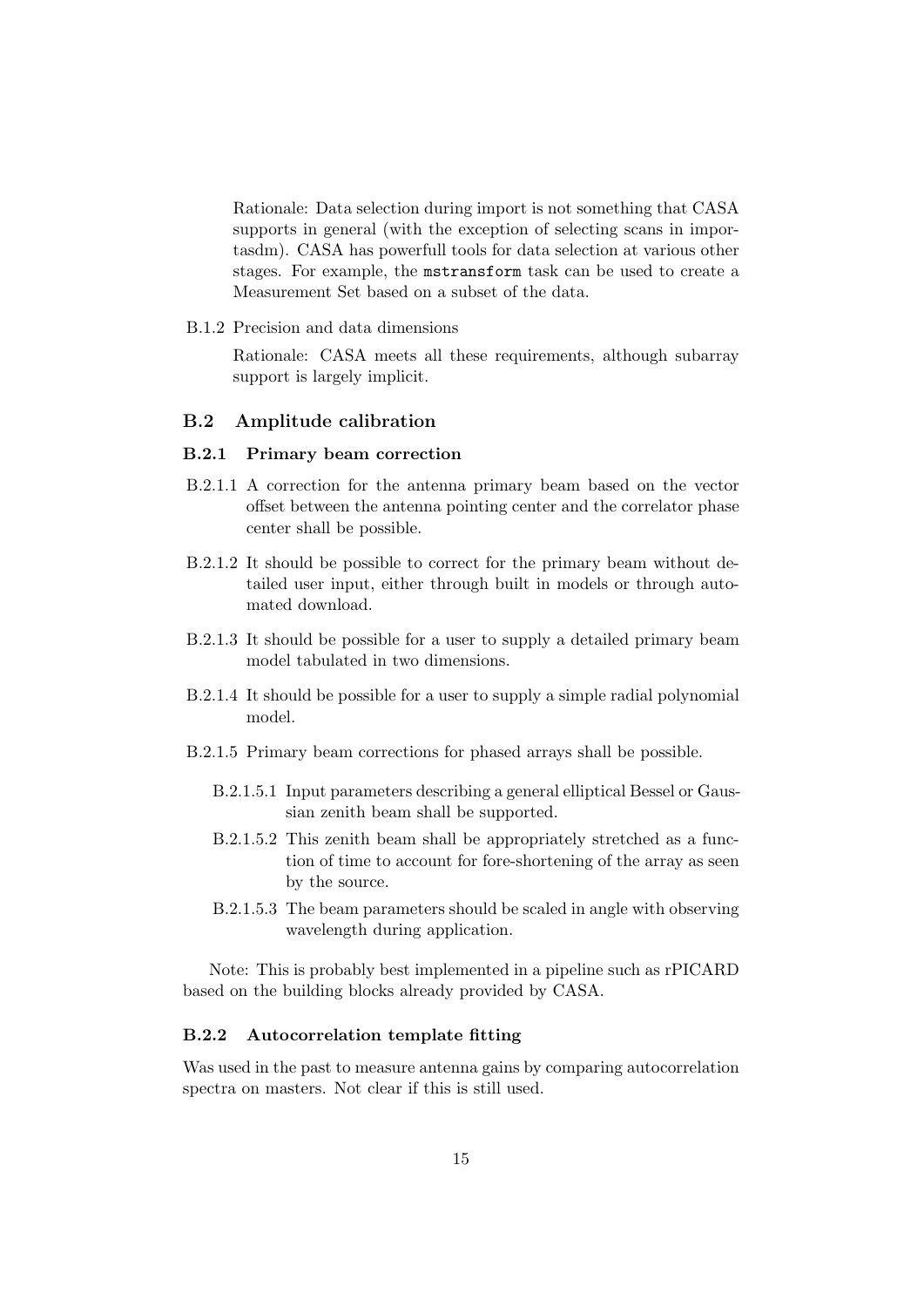Rationale: Data selection during import is not something that CASA supports in general (with the exception of selecting scans in importasdm). CASA has powerfull tools for data selection at various other stages. For example, the mstransform task can be used to create a Measurement Set based on a subset of the data.

B.1.2 Precision and data dimensions

Rationale: CASA meets all these requirements, although subarray support is largely implicit.

### B.2 Amplitude calibration

#### B.2.1 Primary beam correction

- B.2.1.1 A correction for the antenna primary beam based on the vector offset between the antenna pointing center and the correlator phase center shall be possible.
- B.2.1.2 It should be possible to correct for the primary beam without detailed user input, either through built in models or through automated download.
- B.2.1.3 It should be possible for a user to supply a detailed primary beam model tabulated in two dimensions.
- B.2.1.4 It should be possible for a user to supply a simple radial polynomial model.
- B.2.1.5 Primary beam corrections for phased arrays shall be possible.
	- B.2.1.5.1 Input parameters describing a general elliptical Bessel or Gaussian zenith beam shall be supported.
	- B.2.1.5.2 This zenith beam shall be appropriately stretched as a function of time to account for fore-shortening of the array as seen by the source.
	- B.2.1.5.3 The beam parameters should be scaled in angle with observing wavelength during application.

Note: This is probably best implemented in a pipeline such as rPICARD based on the building blocks already provided by CASA.

### B.2.2 Autocorrelation template fitting

Was used in the past to measure antenna gains by comparing autocorrelation spectra on masters. Not clear if this is still used.